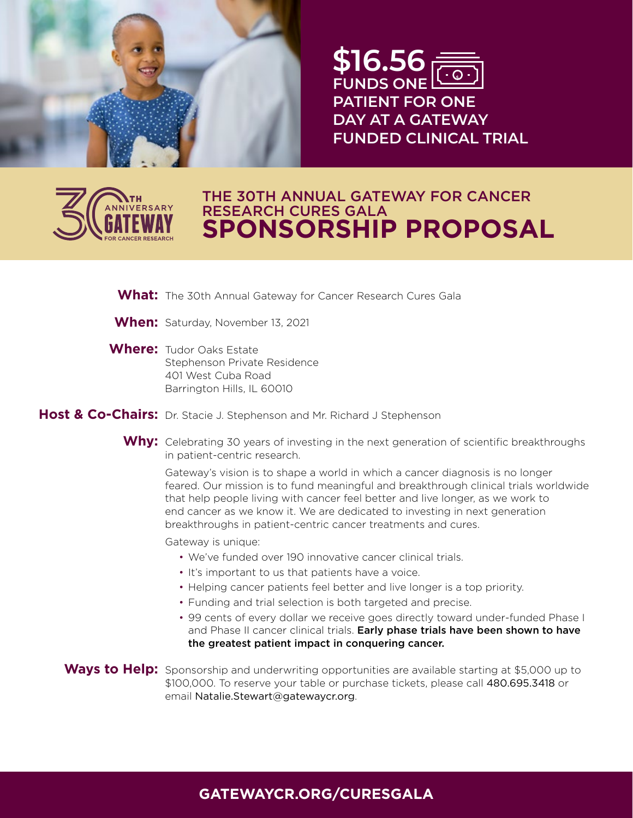

**\$16.56 FUNDS ONE PATIENT FOR ONE DAY AT A GATEWAY FUNDED CLINICAL TRIAL \$**



# **SPONSORSHIP PROPOSAL** THE 30TH ANNUAL GATEWAY FOR CANCER RESEARCH CURES GALA

**What:** The 30th Annual Gateway for Cancer Research Cures Gala r<br>Patok<br>Patok **ENROLLED**<br>
ENROLLED

- When: Saturday, November 13, 2021
- **Where:** Tudor Oaks Estate Stephenson Private Residence 401 West Cuba Road Barrington Hills, IL 60010

Host & Co-Chairs: Dr. Stacie J. Stephenson and Mr. Richard J Stephenson

Why: Celebrating 30 years of investing in the next generation of scientific breakthroughs in patient-centric research.

Gateway's vision is to shape a world in which a cancer diagnosis is no longer feared. Our mission is to fund meaningful and breakthrough clinical trials worldwide that help people living with cancer feel better and live longer, as we work to end cancer as we know it. We are dedicated to investing in next generation breakthroughs in patient-centric cancer treatments and cures.

Gateway is unique:

- We've funded over 190 innovative cancer clinical trials.
- It's important to us that patients have a voice.
- Helping cancer patients feel better and live longer is a top priority.
- Funding and trial selection is both targeted and precise.
- 99 cents of every dollar we receive goes directly toward under-funded Phase I and Phase II cancer clinical trials. Early phase trials have been shown to have the greatest patient impact in conquering cancer.

Ways to Help: Sponsorship and underwriting opportunities are available starting at \$5,000 up to \$100,000. To reserve your table or purchase tickets, please call 480.695.3418 or email Natalie.Stewart@gatewaycr.org.

#### **GATEWAYCR.ORG/CURESGALA**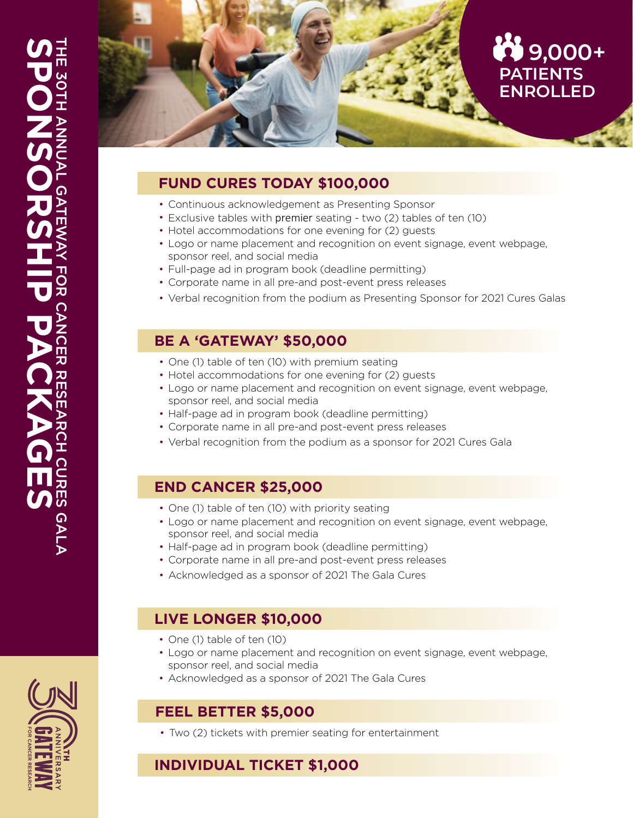

## **FUND CURES TODAY \$100,000**

- Continuous acknowledgement as Presenting Sponsor
- Exclusive tables with premier seating two (2) tables of ten (10)
- Hotel accommodations for one evening for (2) guests
- Logo or name placement and recognition on event signage, event webpage, sponsor reel, and social media
- Full-page ad in program book (deadline permitting)
- Corporate name in all pre-and post-event press releases
- Verbal recognition from the podium as Presenting Sponsor for 2021 Cures Galas

### **BE A 'GATEWAY' \$50,000**

- One (1) table of ten (10) with premium seating
- Hotel accommodations for one evening for (2) guests
- Logo or name placement and recognition on event signage, event webpage, sponsor reel, and social media
- Half-page ad in program book (deadline permitting)
- Corporate name in all pre-and post-event press releases
- Verbal recognition from the podium as a sponsor for 2021 Cures Gala

#### **END CANCER \$25,000**

- One (1) table of ten (10) with priority seating
- Logo or name placement and recognition on event signage, event webpage, sponsor reel, and social media
- Half-page ad in program book (deadline permitting)
- Corporate name in all pre-and post-event press releases
- Acknowledged as a sponsor of 2021 The Gala Cures

# **LIVE LONGER \$10,000**

- One (1) table of ten (10)
- Logo or name placement and recognition on event signage, event webpage, sponsor reel, and social media
- Acknowledged as a sponsor of 2021 The Gala Cures

#### **FEEL BETTER \$5,000**

• Two (2) tickets with premier seating for entertainment

# **INDIVIDUAL TICKET \$1,000**